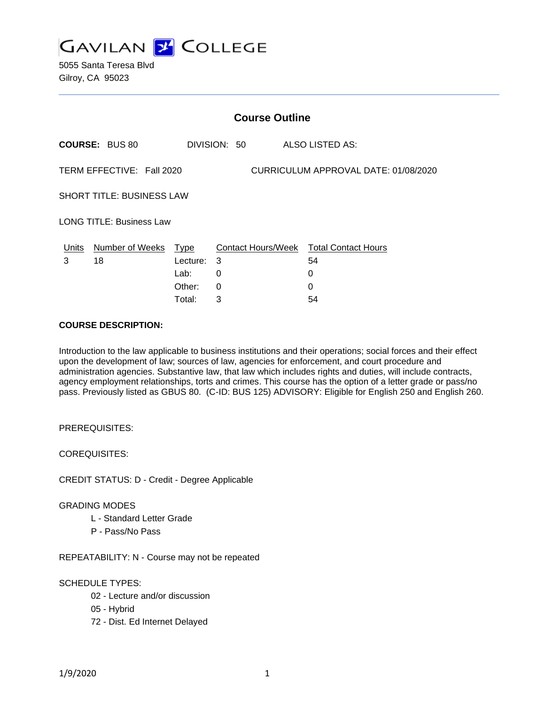

5055 Santa Teresa Blvd Gilroy, CA 95023

| <b>Course Outline</b>                                             |                       |          |              |                                        |
|-------------------------------------------------------------------|-----------------------|----------|--------------|----------------------------------------|
|                                                                   | <b>COURSE: BUS 80</b> |          | DIVISION: 50 | ALSO LISTED AS:                        |
| TERM EFFECTIVE: Fall 2020<br>CURRICULUM APPROVAL DATE: 01/08/2020 |                       |          |              |                                        |
| <b>SHORT TITLE: BUSINESS LAW</b>                                  |                       |          |              |                                        |
| <b>LONG TITLE: Business Law</b>                                   |                       |          |              |                                        |
| Units                                                             | Number of Weeks Type  |          |              | Contact Hours/Week Total Contact Hours |
| 3                                                                 | 18                    | Lecture: | -3           | 54                                     |
|                                                                   |                       | Lab:     | 0            | 0                                      |
|                                                                   |                       | Other:   | $\Omega$     | 0                                      |
|                                                                   |                       | Total:   | 3            | 54                                     |

#### **COURSE DESCRIPTION:**

Introduction to the law applicable to business institutions and their operations; social forces and their effect upon the development of law; sources of law, agencies for enforcement, and court procedure and administration agencies. Substantive law, that law which includes rights and duties, will include contracts, agency employment relationships, torts and crimes. This course has the option of a letter grade or pass/no pass. Previously listed as GBUS 80. (C-ID: BUS 125) ADVISORY: Eligible for English 250 and English 260.

PREREQUISITES:

COREQUISITES:

CREDIT STATUS: D - Credit - Degree Applicable

#### GRADING MODES

- L Standard Letter Grade
- P Pass/No Pass

REPEATABILITY: N - Course may not be repeated

#### SCHEDULE TYPES:

- 02 Lecture and/or discussion
- 05 Hybrid
- 72 Dist. Ed Internet Delayed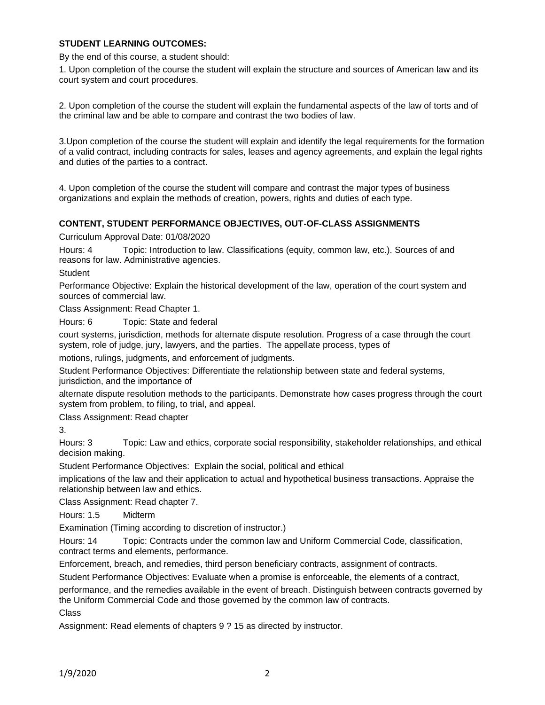### **STUDENT LEARNING OUTCOMES:**

By the end of this course, a student should:

1. Upon completion of the course the student will explain the structure and sources of American law and its court system and court procedures.

2. Upon completion of the course the student will explain the fundamental aspects of the law of torts and of the criminal law and be able to compare and contrast the two bodies of law.

3.Upon completion of the course the student will explain and identify the legal requirements for the formation of a valid contract, including contracts for sales, leases and agency agreements, and explain the legal rights and duties of the parties to a contract.

4. Upon completion of the course the student will compare and contrast the major types of business organizations and explain the methods of creation, powers, rights and duties of each type.

#### **CONTENT, STUDENT PERFORMANCE OBJECTIVES, OUT-OF-CLASS ASSIGNMENTS**

Curriculum Approval Date: 01/08/2020

Hours: 4 Topic: Introduction to law. Classifications (equity, common law, etc.). Sources of and reasons for law. Administrative agencies.

**Student** 

Performance Objective: Explain the historical development of the law, operation of the court system and sources of commercial law.

Class Assignment: Read Chapter 1.

Hours: 6 Topic: State and federal

court systems, jurisdiction, methods for alternate dispute resolution. Progress of a case through the court system, role of judge, jury, lawyers, and the parties. The appellate process, types of

motions, rulings, judgments, and enforcement of judgments.

Student Performance Objectives: Differentiate the relationship between state and federal systems, jurisdiction, and the importance of

alternate dispute resolution methods to the participants. Demonstrate how cases progress through the court system from problem, to filing, to trial, and appeal.

Class Assignment: Read chapter

3.

Hours: 3 Topic: Law and ethics, corporate social responsibility, stakeholder relationships, and ethical decision making.

Student Performance Objectives: Explain the social, political and ethical

implications of the law and their application to actual and hypothetical business transactions. Appraise the relationship between law and ethics.

Class Assignment: Read chapter 7.

Hours: 1.5 Midterm

Examination (Timing according to discretion of instructor.)

Hours: 14 Topic: Contracts under the common law and Uniform Commercial Code, classification, contract terms and elements, performance.

Enforcement, breach, and remedies, third person beneficiary contracts, assignment of contracts.

Student Performance Objectives: Evaluate when a promise is enforceable, the elements of a contract,

performance, and the remedies available in the event of breach. Distinguish between contracts governed by the Uniform Commercial Code and those governed by the common law of contracts.

Class

Assignment: Read elements of chapters 9 ? 15 as directed by instructor.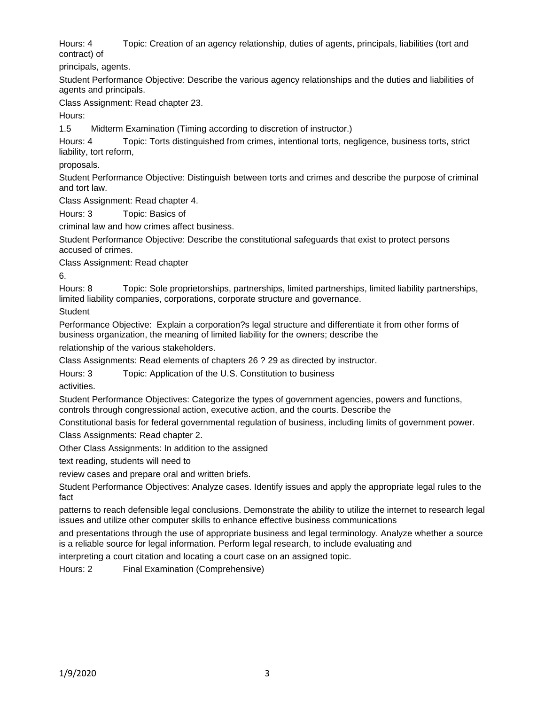Hours: 4 Topic: Creation of an agency relationship, duties of agents, principals, liabilities (tort and contract) of

principals, agents.

Student Performance Objective: Describe the various agency relationships and the duties and liabilities of agents and principals.

Class Assignment: Read chapter 23.

Hours:

1.5 Midterm Examination (Timing according to discretion of instructor.)

Hours: 4 Topic: Torts distinguished from crimes, intentional torts, negligence, business torts, strict liability, tort reform,

proposals.

Student Performance Objective: Distinguish between torts and crimes and describe the purpose of criminal and tort law.

Class Assignment: Read chapter 4.

Hours: 3 Topic: Basics of

criminal law and how crimes affect business.

Student Performance Objective: Describe the constitutional safeguards that exist to protect persons accused of crimes.

Class Assignment: Read chapter

6.

Hours: 8 Topic: Sole proprietorships, partnerships, limited partnerships, limited liability partnerships, limited liability companies, corporations, corporate structure and governance.

**Student** 

Performance Objective: Explain a corporation?s legal structure and differentiate it from other forms of business organization, the meaning of limited liability for the owners; describe the

relationship of the various stakeholders.

Class Assignments: Read elements of chapters 26 ? 29 as directed by instructor.

Hours: 3 Topic: Application of the U.S. Constitution to business

activities.

Student Performance Objectives: Categorize the types of government agencies, powers and functions, controls through congressional action, executive action, and the courts. Describe the

Constitutional basis for federal governmental regulation of business, including limits of government power. Class Assignments: Read chapter 2.

Other Class Assignments: In addition to the assigned

text reading, students will need to

review cases and prepare oral and written briefs.

Student Performance Objectives: Analyze cases. Identify issues and apply the appropriate legal rules to the fact

patterns to reach defensible legal conclusions. Demonstrate the ability to utilize the internet to research legal issues and utilize other computer skills to enhance effective business communications

and presentations through the use of appropriate business and legal terminology. Analyze whether a source is a reliable source for legal information. Perform legal research, to include evaluating and

interpreting a court citation and locating a court case on an assigned topic.

Hours: 2 Final Examination (Comprehensive)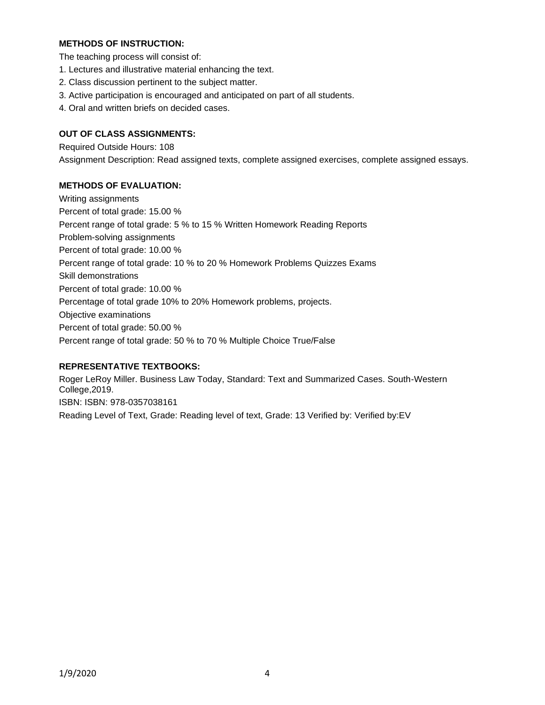## **METHODS OF INSTRUCTION:**

The teaching process will consist of:

- 1. Lectures and illustrative material enhancing the text.
- 2. Class discussion pertinent to the subject matter.
- 3. Active participation is encouraged and anticipated on part of all students.
- 4. Oral and written briefs on decided cases.

# **OUT OF CLASS ASSIGNMENTS:**

Required Outside Hours: 108 Assignment Description: Read assigned texts, complete assigned exercises, complete assigned essays.

### **METHODS OF EVALUATION:**

Writing assignments Percent of total grade: 15.00 % Percent range of total grade: 5 % to 15 % Written Homework Reading Reports Problem-solving assignments Percent of total grade: 10.00 % Percent range of total grade: 10 % to 20 % Homework Problems Quizzes Exams Skill demonstrations Percent of total grade: 10.00 % Percentage of total grade 10% to 20% Homework problems, projects. Objective examinations Percent of total grade: 50.00 % Percent range of total grade: 50 % to 70 % Multiple Choice True/False

# **REPRESENTATIVE TEXTBOOKS:**

Roger LeRoy Miller. Business Law Today, Standard: Text and Summarized Cases. South-Western College,2019. ISBN: ISBN: 978-0357038161 Reading Level of Text, Grade: Reading level of text, Grade: 13 Verified by: Verified by:EV